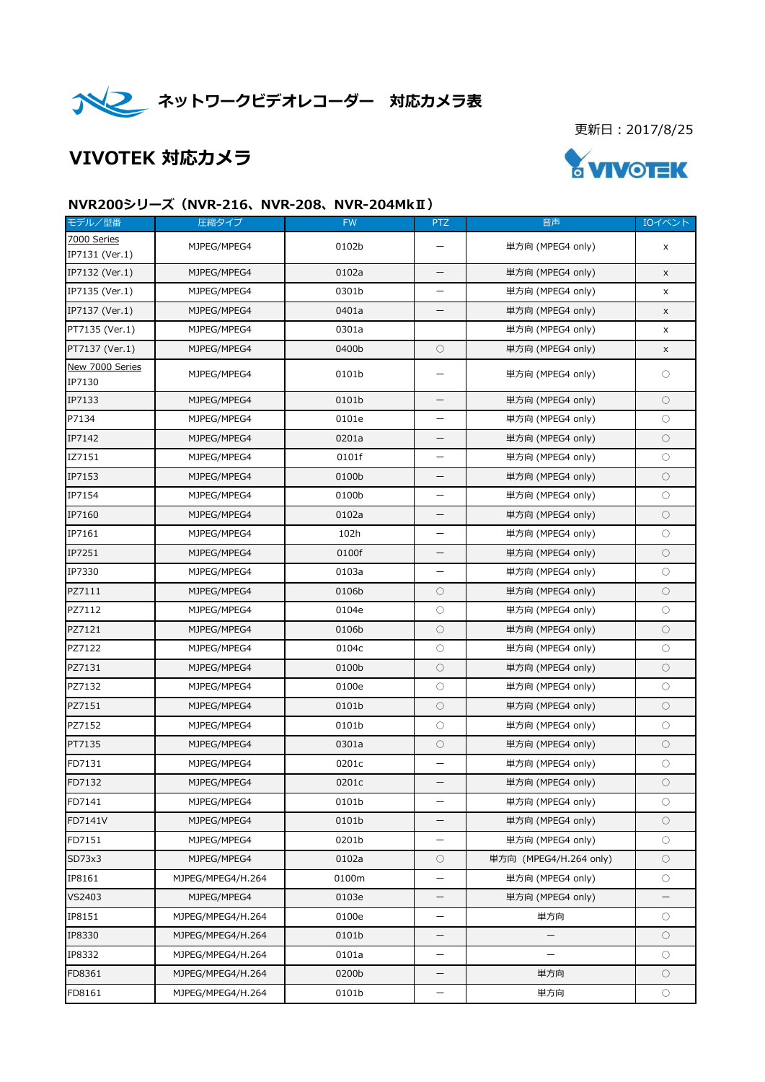

更新日:2017/8/25

# VIVOTEK 対応カメラ



#### NVR200シリーズ(NVR-216、NVR-208、NVR-204MkⅡ)

| モデル/型番                    | 圧縮タイプ             | <b>FW</b> | <b>PTZ</b>               | 音声                       | IOイベント              |
|---------------------------|-------------------|-----------|--------------------------|--------------------------|---------------------|
| 7000 Series               | MJPEG/MPEG4       | 0102b     | —                        | 単方向 (MPEG4 only)         | X                   |
| IP7131 (Ver.1)            |                   |           |                          |                          |                     |
| IP7132 (Ver.1)            | MJPEG/MPEG4       | 0102a     | —                        | 単方向 (MPEG4 only)         | X                   |
| IP7135 (Ver.1)            | MJPEG/MPEG4       | 0301b     |                          | 単方向 (MPEG4 only)         | x                   |
| IP7137 (Ver.1)            | MJPEG/MPEG4       | 0401a     | —                        | 単方向 (MPEG4 only)         | X                   |
| PT7135 (Ver.1)            | MJPEG/MPEG4       | 0301a     |                          | 単方向 (MPEG4 only)         | X                   |
| PT7137 (Ver.1)            | MJPEG/MPEG4       | 0400b     | $\circ$                  | 単方向 (MPEG4 only)         | $\mathsf X$         |
| New 7000 Series<br>IP7130 | MJPEG/MPEG4       | 0101b     | $\overline{\phantom{0}}$ | 単方向 (MPEG4 only)         | $\circlearrowright$ |
| IP7133                    | MJPEG/MPEG4       | 0101b     | —                        | 単方向 (MPEG4 only)         | $\circ$             |
| P7134                     | MJPEG/MPEG4       | 0101e     | —                        | 単方向 (MPEG4 only)         | $\bigcirc$          |
| IP7142                    | MJPEG/MPEG4       | 0201a     |                          | 単方向 (MPEG4 only)         | О                   |
| IZ7151                    | MJPEG/MPEG4       | 0101f     | —                        | 単方向 (MPEG4 only)         | $\bigcirc$          |
| IP7153                    | MJPEG/MPEG4       | 0100b     |                          | 単方向 (MPEG4 only)         | $\bigcirc$          |
| IP7154                    | MJPEG/MPEG4       | 0100b     | —                        | 単方向 (MPEG4 only)         | $\bigcirc$          |
| IP7160                    | MJPEG/MPEG4       | 0102a     |                          | 単方向 (MPEG4 only)         | О                   |
| IP7161                    | MJPEG/MPEG4       | 102h      | —                        | 単方向 (MPEG4 only)         | $\bigcirc$          |
| IP7251                    | MJPEG/MPEG4       | 0100f     |                          | 単方向 (MPEG4 only)         | $\bigcirc$          |
| IP7330                    | MJPEG/MPEG4       | 0103a     | —                        | 単方向 (MPEG4 only)         | $\bigcirc$          |
| PZ7111                    | MJPEG/MPEG4       | 0106b     | $\bigcirc$               | 単方向 (MPEG4 only)         | $\bigcirc$          |
| PZ7112                    | MJPEG/MPEG4       | 0104e     | $\circ$                  | 単方向 (MPEG4 only)         | $\bigcirc$          |
| PZ7121                    | MJPEG/MPEG4       | 0106b     | $\circlearrowright$      | 単方向 (MPEG4 only)         | $\circ$             |
| PZ7122                    | MJPEG/MPEG4       | 0104c     | $\circ$                  | 単方向 (MPEG4 only)         | $\bigcirc$          |
| PZ7131                    | MJPEG/MPEG4       | 0100b     | $\circ$                  | 単方向 (MPEG4 only)         | $\circ$             |
| PZ7132                    | MJPEG/MPEG4       | 0100e     | $\circ$                  | 単方向 (MPEG4 only)         | $\circlearrowright$ |
| PZ7151                    | MJPEG/MPEG4       | 0101b     | $\circ$                  | 単方向 (MPEG4 only)         | О                   |
| PZ7152                    | MJPEG/MPEG4       | 0101b     | $\circ$                  | 単方向 (MPEG4 only)         | $\circlearrowright$ |
| PT7135                    | MJPEG/MPEG4       | 0301a     | $\circ$                  | 単方向 (MPEG4 only)         | О                   |
| FD7131                    | MJPEG/MPEG4       | 0201c     | —                        | 単方向 (MPEG4 only)         | О                   |
| FD7132                    | MJPEG/MPEG4       | 0201c     | —                        | 単方向 (MPEG4 only)         | $\bigcirc$          |
| FD7141                    | MJPEG/MPEG4       | 0101b     | —                        | 単方向 (MPEG4 only)         | О                   |
| FD7141V                   | MJPEG/MPEG4       | 0101b     | —                        | 単方向 (MPEG4 only)         | $\circ$             |
| FD7151                    | MJPEG/MPEG4       | 0201b     | —                        | 単方向 (MPEG4 only)         | $\bigcirc$          |
| SD73x3                    | MJPEG/MPEG4       | 0102a     | $\circ$                  | 単方向 (MPEG4/H.264 only)   | $\bigcirc$          |
| IP8161                    | MJPEG/MPEG4/H.264 | 0100m     | —                        | 単方向 (MPEG4 only)         | $\bigcirc$          |
| VS2403                    | MJPEG/MPEG4       | 0103e     | —                        | 単方向 (MPEG4 only)         |                     |
| IP8151                    | MJPEG/MPEG4/H.264 | 0100e     | —                        | 単方向                      | $\circ$             |
| IP8330                    | MJPEG/MPEG4/H.264 | 0101b     | —                        | $\overline{\phantom{0}}$ | $\bigcirc$          |
| IP8332                    | MJPEG/MPEG4/H.264 | 0101a     |                          |                          | 0                   |
| FD8361                    | MJPEG/MPEG4/H.264 | 0200b     | —                        | 単方向                      | $\bigcirc$          |
| FD8161                    | MJPEG/MPEG4/H.264 | 0101b     | —                        | 単方向                      | $\bigcirc$          |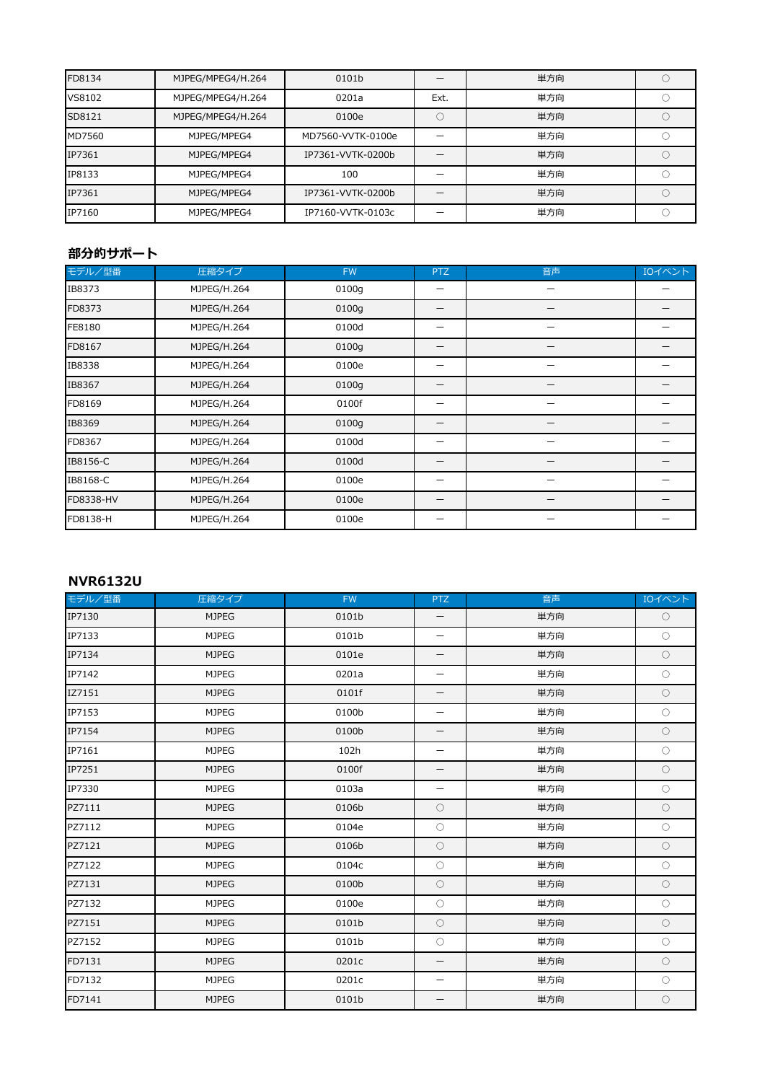| FD8134 | MJPEG/MPEG4/H.264 | 0101b             |      | 単方向 |  |
|--------|-------------------|-------------------|------|-----|--|
| VS8102 | MJPEG/MPEG4/H.264 | 0201a             | Ext. | 単方向 |  |
| SD8121 | MJPEG/MPEG4/H.264 | 0100e             |      | 単方向 |  |
| MD7560 | MJPEG/MPEG4       | MD7560-VVTK-0100e |      | 単方向 |  |
| IP7361 | MJPEG/MPEG4       | IP7361-VVTK-0200b |      | 単方向 |  |
| IP8133 | MJPEG/MPEG4       | 100               |      | 単方向 |  |
| IP7361 | MJPEG/MPEG4       | IP7361-VVTK-0200b |      | 単方向 |  |
| IP7160 | MJPEG/MPEG4       | IP7160-VVTK-0103c |      | 単方向 |  |

## 部分的サポート

| モデル/型番    | 圧縮タイプ       | <b>FW</b> | <b>PTZ</b> | 音声 | IOイベント |
|-----------|-------------|-----------|------------|----|--------|
| IB8373    | MJPEG/H.264 | 0100g     |            |    |        |
| FD8373    | MJPEG/H.264 | 0100g     |            |    |        |
| FE8180    | MJPEG/H.264 | 0100d     |            |    |        |
| FD8167    | MJPEG/H.264 | 0100g     |            |    |        |
| IB8338    | MJPEG/H.264 | 0100e     |            |    |        |
| IB8367    | MJPEG/H.264 | 0100g     |            |    |        |
| FD8169    | MJPEG/H.264 | 0100f     |            |    |        |
| IB8369    | MJPEG/H.264 | 0100g     |            |    |        |
| FD8367    | MJPEG/H.264 | 0100d     |            |    |        |
| IB8156-C  | MJPEG/H.264 | 0100d     | —          |    |        |
| IB8168-C  | MJPEG/H.264 | 0100e     |            |    |        |
| FD8338-HV | MJPEG/H.264 | 0100e     |            |    |        |
| FD8138-H  | MJPEG/H.264 | 0100e     | —          |    |        |

#### NVR6132U

| モデル/型番 | 圧縮タイプ        | <b>FW</b> | <b>PTZ</b>               | 音声  | IOイベント     |
|--------|--------------|-----------|--------------------------|-----|------------|
| IP7130 | <b>MJPEG</b> | 0101b     | $\qquad \qquad -$        | 単方向 | $\bigcirc$ |
| IP7133 | <b>MJPEG</b> | 0101b     | $\overline{\phantom{m}}$ | 単方向 | $\bigcirc$ |
| IP7134 | <b>MJPEG</b> | 0101e     | $\overline{\phantom{m}}$ | 単方向 | $\bigcirc$ |
| IP7142 | <b>MJPEG</b> | 0201a     |                          | 単方向 | $\bigcirc$ |
| IZ7151 | <b>MJPEG</b> | 0101f     | $\overline{\phantom{m}}$ | 単方向 | $\bigcirc$ |
| IP7153 | <b>MJPEG</b> | 0100b     | $\qquad \qquad -$        | 単方向 | $\bigcirc$ |
| IP7154 | <b>MJPEG</b> | 0100b     | $\overline{\phantom{m}}$ | 単方向 | $\bigcirc$ |
| IP7161 | <b>MJPEG</b> | 102h      | $\overline{\phantom{m}}$ | 単方向 | $\bigcirc$ |
| IP7251 | <b>MJPEG</b> | 0100f     | $\overline{\phantom{m}}$ | 単方向 | $\bigcirc$ |
| IP7330 | <b>MJPEG</b> | 0103a     | $\overline{\phantom{m}}$ | 単方向 | $\bigcirc$ |
| PZ7111 | <b>MJPEG</b> | 0106b     | $\circlearrowright$      | 単方向 | $\bigcirc$ |
| PZ7112 | <b>MJPEG</b> | 0104e     | $\bigcirc$               | 単方向 | $\bigcirc$ |
| PZ7121 | <b>MJPEG</b> | 0106b     | $\bigcirc$               | 単方向 | $\bigcirc$ |
| PZ7122 | <b>MJPEG</b> | 0104c     | $\circ$                  | 単方向 | $\bigcirc$ |
| PZ7131 | <b>MJPEG</b> | 0100b     | $\bigcirc$               | 単方向 | $\bigcirc$ |
| PZ7132 | <b>MJPEG</b> | 0100e     | $\bigcirc$               | 単方向 | $\bigcirc$ |
| PZ7151 | <b>MJPEG</b> | 0101b     | $\circ$                  | 単方向 | $\bigcirc$ |
| PZ7152 | <b>MJPEG</b> | 0101b     | $\circ$                  | 単方向 | $\bigcirc$ |
| FD7131 | <b>MJPEG</b> | 0201c     | $\qquad \qquad -$        | 単方向 | $\bigcirc$ |
| FD7132 | <b>MJPEG</b> | 0201c     | $\overline{\phantom{m}}$ | 単方向 | $\bigcirc$ |
| FD7141 | <b>MJPEG</b> | 0101b     | $\qquad \qquad -$        | 単方向 | $\bigcirc$ |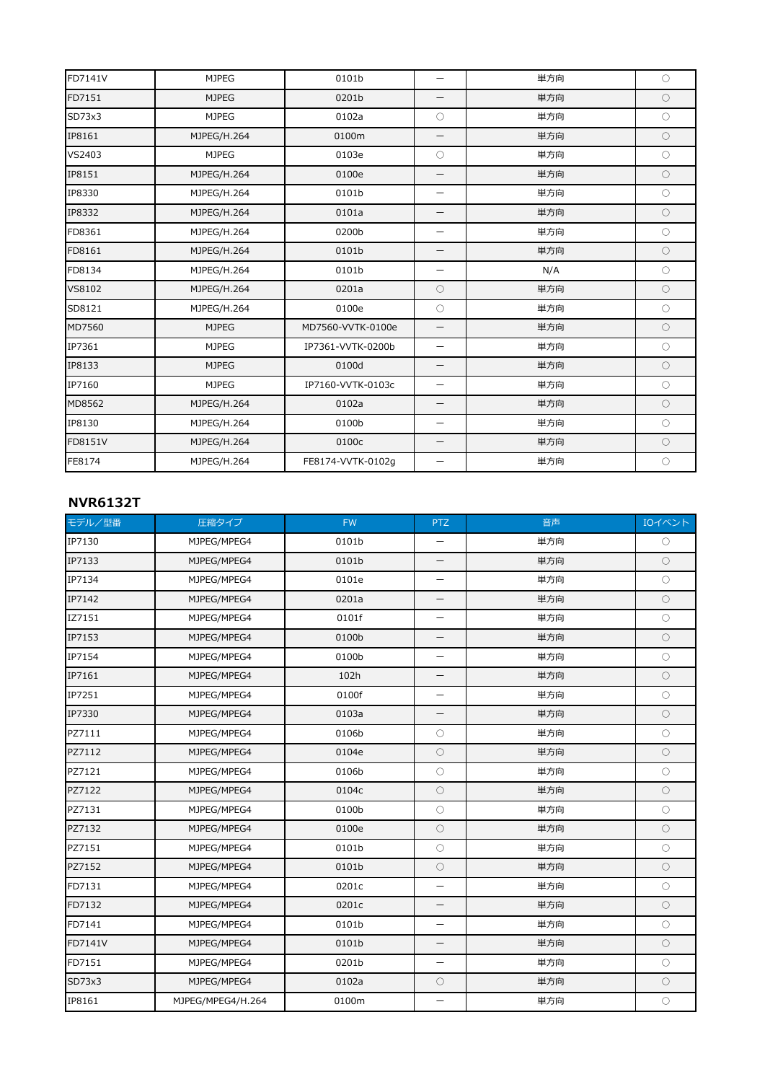| FD7141V | <b>MJPEG</b> | 0101b             | $\overline{\phantom{0}}$ | 単方向 | $\bigcirc$ |
|---------|--------------|-------------------|--------------------------|-----|------------|
| FD7151  | <b>MJPEG</b> | 0201b             | —                        | 単方向 | $\circ$    |
| SD73x3  | <b>MJPEG</b> | 0102a             | $\circ$                  | 単方向 | $\circ$    |
| IP8161  | MJPEG/H.264  | 0100m             | $\qquad \qquad$          | 単方向 | $\bigcirc$ |
| VS2403  | <b>MJPEG</b> | 0103e             | $\circ$                  | 単方向 | $\bigcirc$ |
| IP8151  | MJPEG/H.264  | 0100e             |                          | 単方向 | $\circ$    |
| IP8330  | MJPEG/H.264  | 0101b             | $\overline{\phantom{0}}$ | 単方向 | $\circ$    |
| IP8332  | MJPEG/H.264  | 0101a             | $\overline{\phantom{0}}$ | 単方向 | $\bigcirc$ |
| FD8361  | MJPEG/H.264  | 0200b             | $\overline{\phantom{0}}$ | 単方向 | $\circ$    |
| FD8161  | MJPEG/H.264  | 0101b             | $\overline{\phantom{0}}$ | 単方向 | $\bigcirc$ |
| FD8134  | MJPEG/H.264  | 0101b             | —                        | N/A | $\bigcirc$ |
| VS8102  | MJPEG/H.264  | 0201a             | $\circ$                  | 単方向 | $\circ$    |
| SD8121  | MJPEG/H.264  | 0100e             | $\circ$                  | 単方向 | $\bigcirc$ |
| MD7560  | <b>MJPEG</b> | MD7560-VVTK-0100e | —                        | 単方向 | $\bigcirc$ |
| IP7361  | <b>MJPEG</b> | IP7361-VVTK-0200b | $\overline{\phantom{0}}$ | 単方向 | $\bigcirc$ |
| IP8133  | <b>MJPEG</b> | 0100d             | —                        | 単方向 | $\bigcirc$ |
| IP7160  | <b>MJPEG</b> | IP7160-VVTK-0103c | $\overline{\phantom{0}}$ | 単方向 | $\circ$    |
| MD8562  | MJPEG/H.264  | 0102a             | $\overline{\phantom{0}}$ | 単方向 | $\bigcirc$ |
| IP8130  | MJPEG/H.264  | 0100b             | $\overline{\phantom{0}}$ | 単方向 | $\circ$    |
| FD8151V | MJPEG/H.264  | 0100c             |                          | 単方向 | $\circ$    |
| FE8174  | MJPEG/H.264  | FE8174-VVTK-0102q | —                        | 単方向 | $\circ$    |

#### NVR6132T

| モデル/型番  | 圧縮タイプ             | <b>FW</b> | <b>PTZ</b>               | 音声  | IOイベント     |
|---------|-------------------|-----------|--------------------------|-----|------------|
| IP7130  | MJPEG/MPEG4       | 0101b     | $\qquad \qquad -$        | 単方向 | $\bigcirc$ |
| IP7133  | MJPEG/MPEG4       | 0101b     | $\qquad \qquad -$        | 単方向 | $\bigcirc$ |
| IP7134  | MJPEG/MPEG4       | 0101e     | $\overline{\phantom{m}}$ | 単方向 | $\bigcirc$ |
| IP7142  | MJPEG/MPEG4       | 0201a     | —                        | 単方向 | $\bigcirc$ |
| IZ7151  | MJPEG/MPEG4       | 0101f     |                          | 単方向 | $\circ$    |
| IP7153  | MJPEG/MPEG4       | 0100b     | $\qquad \qquad -$        | 単方向 | $\bigcirc$ |
| IP7154  | MJPEG/MPEG4       | 0100b     | $\qquad \qquad -$        | 単方向 | $\circ$    |
| IP7161  | MJPEG/MPEG4       | 102h      | $\overline{\phantom{m}}$ | 単方向 | $\bigcirc$ |
| IP7251  | MJPEG/MPEG4       | 0100f     | $\overline{\phantom{0}}$ | 単方向 | $\circ$    |
| IP7330  | MJPEG/MPEG4       | 0103a     | $\overline{\phantom{m}}$ | 単方向 | $\bigcirc$ |
| PZ7111  | MJPEG/MPEG4       | 0106b     | $\bigcirc$               | 単方向 | $\circ$    |
| PZ7112  | MJPEG/MPEG4       | 0104e     | $\bigcirc$               | 単方向 | $\bigcirc$ |
| PZ7121  | MJPEG/MPEG4       | 0106b     | $\bigcirc$               | 単方向 | $\circ$    |
| PZ7122  | MJPEG/MPEG4       | 0104c     | $\circ$                  | 単方向 | $\bigcirc$ |
| PZ7131  | MJPEG/MPEG4       | 0100b     | $\circ$                  | 単方向 | $\circ$    |
| PZ7132  | MJPEG/MPEG4       | 0100e     | $\bigcirc$               | 単方向 | $\bigcirc$ |
| PZ7151  | MJPEG/MPEG4       | 0101b     | $\bigcirc$               | 単方向 | $\bigcirc$ |
| PZ7152  | MJPEG/MPEG4       | 0101b     | $\circ$                  | 単方向 | $\bigcirc$ |
| FD7131  | MJPEG/MPEG4       | 0201c     | $\overline{\phantom{m}}$ | 単方向 | $\bigcirc$ |
| FD7132  | MJPEG/MPEG4       | 0201c     | —                        | 単方向 | $\circ$    |
| FD7141  | MJPEG/MPEG4       | 0101b     | $\overline{\phantom{m}}$ | 単方向 | $\bigcirc$ |
| FD7141V | MJPEG/MPEG4       | 0101b     | $\qquad \qquad -$        | 単方向 | $\circ$    |
| FD7151  | MJPEG/MPEG4       | 0201b     | $\overline{\phantom{m}}$ | 単方向 | $\bigcirc$ |
| SD73x3  | MJPEG/MPEG4       | 0102a     | $\circlearrowright$      | 単方向 | $\bigcirc$ |
| IP8161  | MJPEG/MPEG4/H.264 | 0100m     | $\overline{\phantom{0}}$ | 単方向 | $\bigcirc$ |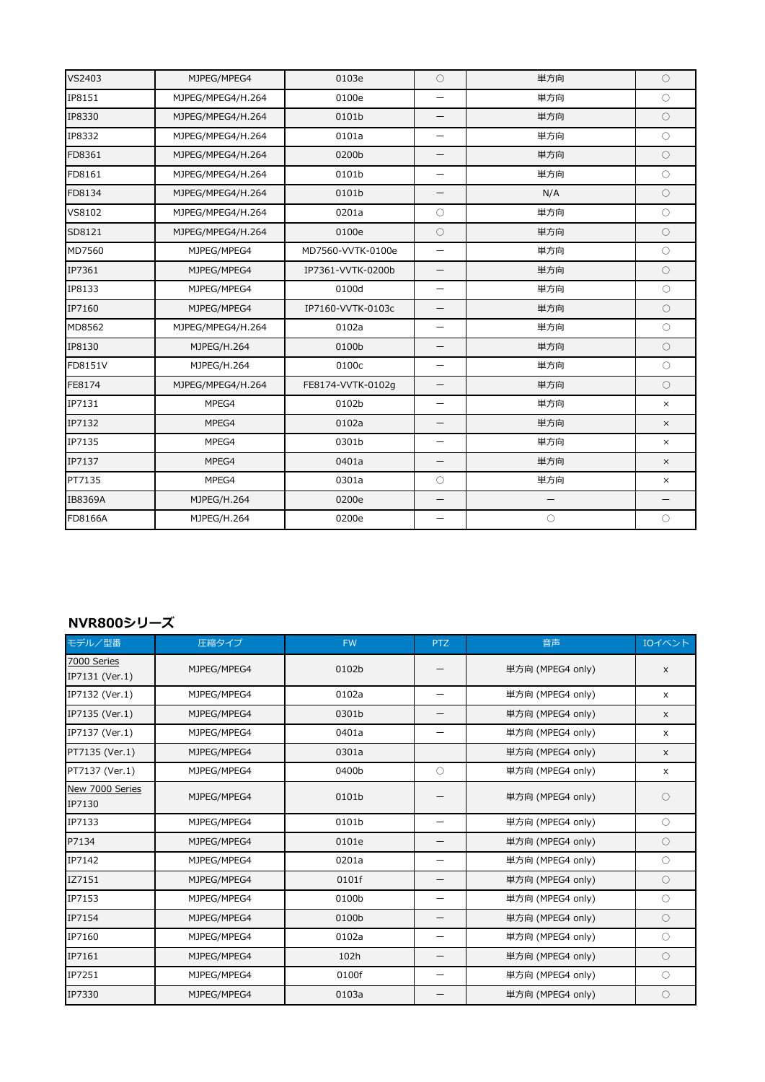| VS2403  | MJPEG/MPEG4       | 0103e             | $\circ$                  | 単方向               | $\circ$           |
|---------|-------------------|-------------------|--------------------------|-------------------|-------------------|
| IP8151  | MJPEG/MPEG4/H.264 | 0100e             | $\overline{\phantom{m}}$ | 単方向               | $\circ$           |
| IP8330  | MJPEG/MPEG4/H.264 | 0101b             | $\overline{\phantom{m}}$ | 単方向               | $\circ$           |
| IP8332  | MJPEG/MPEG4/H.264 | 0101a             | $\overline{\phantom{0}}$ | 単方向               | $\bigcirc$        |
| FD8361  | MJPEG/MPEG4/H.264 | 0200b             | $\overline{\phantom{0}}$ | 単方向               | $\bigcirc$        |
| FD8161  | MJPEG/MPEG4/H.264 | 0101b             |                          | 単方向               | $\circ$           |
| FD8134  | MJPEG/MPEG4/H.264 | 0101b             | $\overline{\phantom{0}}$ | N/A               | $\circ$           |
| VS8102  | MJPEG/MPEG4/H.264 | 0201a             | $\circ$                  | 単方向               | $\circ$           |
| SD8121  | MJPEG/MPEG4/H.264 | 0100e             | $\circ$                  | 単方向               | $\circ$           |
| MD7560  | MJPEG/MPEG4       | MD7560-VVTK-0100e | $\overline{\phantom{0}}$ | 単方向               | $\circ$           |
| IP7361  | MJPEG/MPEG4       | IP7361-VVTK-0200b | $\overline{\phantom{m}}$ | 単方向               | $\circ$           |
| IP8133  | MJPEG/MPEG4       | 0100d             |                          | 単方向               | $\circ$           |
| IP7160  | MJPEG/MPEG4       | IP7160-VVTK-0103c | $\overline{\phantom{0}}$ | 単方向               | $\circ$           |
| MD8562  | MJPEG/MPEG4/H.264 | 0102a             | $\overline{\phantom{m}}$ | 単方向               | $\circ$           |
| IP8130  | MJPEG/H.264       | 0100b             | $\overline{\phantom{m}}$ | 単方向               | $\circ$           |
| FD8151V | MJPEG/H.264       | 0100c             | $\overline{\phantom{m}}$ | 単方向               | $\circ$           |
| FE8174  | MJPEG/MPEG4/H.264 | FE8174-VVTK-0102g | $\overline{\phantom{m}}$ | 単方向               | $\circ$           |
| IP7131  | MPEG4             | 0102b             | $\overline{\phantom{m}}$ | 単方向               | $\times$          |
| IP7132  | MPEG4             | 0102a             | $\overline{\phantom{m}}$ | 単方向               | $\times$          |
| IP7135  | MPEG4             | 0301b             |                          | 単方向               | $\times$          |
| IP7137  | MPEG4             | 0401a             | $\overline{\phantom{m}}$ | 単方向               | $\times$          |
| PT7135  | MPEG4             | 0301a             | $\circ$                  | 単方向               | $\times$          |
| IB8369A | MJPEG/H.264       | 0200e             | $\overline{\phantom{m}}$ | $\qquad \qquad -$ | $\qquad \qquad -$ |
| FD8166A | MJPEG/H.264       | 0200e             | $\overline{\phantom{m}}$ | $\bigcirc$        | $\circ$           |

### NVR800シリーズ

| モデル/型番                        | 圧縮タイプ       | <b>FW</b> | <b>PTZ</b>               | 音声               | IOイベント         |
|-------------------------------|-------------|-----------|--------------------------|------------------|----------------|
| 7000 Series<br>IP7131 (Ver.1) | MJPEG/MPEG4 | 0102b     |                          | 単方向 (MPEG4 only) | $\times$       |
| IP7132 (Ver.1)                | MJPEG/MPEG4 | 0102a     | $\qquad \qquad -$        | 単方向 (MPEG4 only) | $\times$       |
| IP7135 (Ver.1)                | MJPEG/MPEG4 | 0301b     | —                        | 単方向 (MPEG4 only) | $\pmb{\times}$ |
| IP7137 (Ver.1)                | MJPEG/MPEG4 | 0401a     | —                        | 単方向 (MPEG4 only) | X              |
| PT7135 (Ver.1)                | MJPEG/MPEG4 | 0301a     |                          | 単方向 (MPEG4 only) | $\times$       |
| PT7137 (Ver.1)                | MJPEG/MPEG4 | 0400b     | $\circ$                  | 単方向 (MPEG4 only) | $\times$       |
| New 7000 Series<br>IP7130     | MJPEG/MPEG4 | 0101b     |                          | 単方向 (MPEG4 only) | ∩              |
| IP7133                        | MJPEG/MPEG4 | 0101b     | —                        | 単方向 (MPEG4 only) | $\bigcirc$     |
| P7134                         | MJPEG/MPEG4 | 0101e     |                          | 単方向 (MPEG4 only) | $\circ$        |
| IP7142                        | MJPEG/MPEG4 | 0201a     | —                        | 単方向 (MPEG4 only) | $\circ$        |
| IZ7151                        | MJPEG/MPEG4 | 0101f     | —                        | 単方向 (MPEG4 only) | $\circ$        |
| IP7153                        | MJPEG/MPEG4 | 0100b     |                          | 単方向 (MPEG4 only) | $\circ$        |
| IP7154                        | MJPEG/MPEG4 | 0100b     |                          | 単方向 (MPEG4 only) | $\bigcirc$     |
| IP7160                        | MJPEG/MPEG4 | 0102a     | —                        | 単方向 (MPEG4 only) | $\circ$        |
| IP7161                        | MJPEG/MPEG4 | 102h      | —                        | 単方向 (MPEG4 only) | $\circ$        |
| IP7251                        | MJPEG/MPEG4 | 0100f     | $\overline{\phantom{0}}$ | 単方向 (MPEG4 only) | $\circ$        |
| IP7330                        | MJPEG/MPEG4 | 0103a     |                          | 単方向 (MPEG4 only) | $\bigcirc$     |